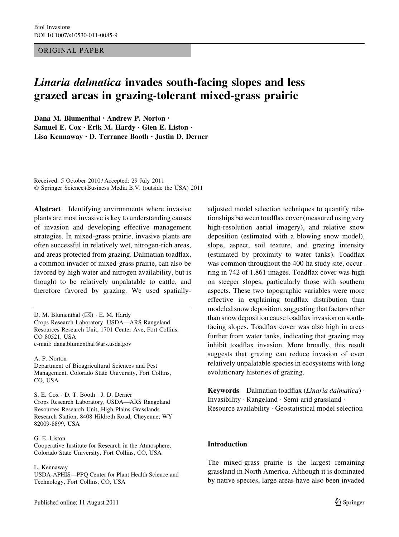### ORIGINAL PAPER

# Linaria dalmatica invades south-facing slopes and less grazed areas in grazing-tolerant mixed-grass prairie

Dana M. Blumenthal • Andrew P. Norton • Samuel E. Cox · Erik M. Hardy · Glen E. Liston · Lisa Kennaway • D. Terrance Booth • Justin D. Derner

Received: 5 October 2010 / Accepted: 29 July 2011 © Springer Science+Business Media B.V. (outside the USA) 2011

Abstract Identifying environments where invasive plants are most invasive is key to understanding causes of invasion and developing effective management strategies. In mixed-grass prairie, invasive plants are often successful in relatively wet, nitrogen-rich areas, and areas protected from grazing. Dalmatian toadflax, a common invader of mixed-grass prairie, can also be favored by high water and nitrogen availability, but is thought to be relatively unpalatable to cattle, and therefore favored by grazing. We used spatially-

D. M. Blumenthal  $(\boxtimes) \cdot$  E. M. Hardy Crops Research Laboratory, USDA—ARS Rangeland Resources Research Unit, 1701 Center Ave, Fort Collins, CO 80521, USA e-mail: dana.blumenthal@ars.usda.gov

A. P. Norton

Department of Bioagricultural Sciences and Pest Management, Colorado State University, Fort Collins, CO, USA

S. E. Cox - D. T. Booth - J. D. Derner Crops Research Laboratory, USDA—ARS Rangeland Resources Research Unit, High Plains Grasslands Research Station, 8408 Hildreth Road, Cheyenne, WY 82009-8899, USA

#### G. E. Liston

Cooperative Institute for Research in the Atmosphere, Colorado State University, Fort Collins, CO, USA

#### L. Kennaway

USDA-APHIS—PPQ Center for Plant Health Science and Technology, Fort Collins, CO, USA

adjusted model selection techniques to quantify relationships between toadflax cover (measured using very high-resolution aerial imagery), and relative snow deposition (estimated with a blowing snow model), slope, aspect, soil texture, and grazing intensity (estimated by proximity to water tanks). Toadflax was common throughout the 400 ha study site, occurring in 742 of 1,861 images. Toadflax cover was high on steeper slopes, particularly those with southern aspects. These two topographic variables were more effective in explaining toadflax distribution than modeled snow deposition, suggesting that factors other than snow deposition cause toadflax invasion on southfacing slopes. Toadflax cover was also high in areas further from water tanks, indicating that grazing may inhibit toadflax invasion. More broadly, this result suggests that grazing can reduce invasion of even relatively unpalatable species in ecosystems with long evolutionary histories of grazing.

Keywords Dalmatian toadflax (Linaria dalmatica) -Invasibility - Rangeland - Semi-arid grassland - Resource availability - Geostatistical model selection

#### Introduction

The mixed-grass prairie is the largest remaining grassland in North America. Although it is dominated by native species, large areas have also been invaded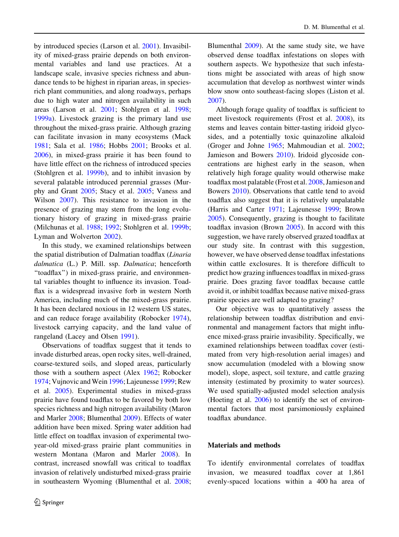by introduced species (Larson et al. [2001\)](#page-9-0). Invasibility of mixed-grass prairie depends on both environmental variables and land use practices. At a landscape scale, invasive species richness and abundance tends to be highest in riparian areas, in speciesrich plant communities, and along roadways, perhaps due to high water and nitrogen availability in such areas (Larson et al. [2001](#page-9-0); Stohlgren et al. [1998](#page-9-0); [1999a](#page-9-0)). Livestock grazing is the primary land use throughout the mixed-grass prairie. Although grazing can facilitate invasion in many ecosystems (Mack [1981;](#page-9-0) Sala et al. [1986](#page-9-0); Hobbs [2001;](#page-8-0) Brooks et al. [2006\)](#page-8-0), in mixed-grass prairie it has been found to have little effect on the richness of introduced species (Stohlgren et al. [1999b](#page-9-0)), and to inhibit invasion by several palatable introduced perennial grasses (Murphy and Grant [2005;](#page-9-0) Stacy et al. [2005](#page-9-0); Vaness and Wilson [2007\)](#page-9-0). This resistance to invasion in the presence of grazing may stem from the long evolutionary history of grazing in mixed-grass prairie (Milchunas et al. [1988](#page-9-0); [1992;](#page-9-0) Stohlgren et al. [1999b](#page-9-0); Lyman and Wolverton [2002](#page-9-0)).

In this study, we examined relationships between the spatial distribution of Dalmatian toadflax (Linaria dalmatica (L.) P. Mill. ssp. Dalmatica; henceforth ''toadflax'') in mixed-grass prairie, and environmental variables thought to influence its invasion. Toadflax is a widespread invasive forb in western North America, including much of the mixed-grass prairie. It has been declared noxious in 12 western US states, and can reduce forage availability (Robocker [1974](#page-9-0)), livestock carrying capacity, and the land value of rangeland (Lacey and Olsen [1991](#page-8-0)).

Observations of toadflax suggest that it tends to invade disturbed areas, open rocky sites, well-drained, coarse-textured soils, and sloped areas, particularly those with a southern aspect (Alex [1962;](#page-8-0) Robocker [1974;](#page-9-0) Vujnovic and Wein [1996](#page-9-0); Lajeunesse [1999;](#page-8-0) Rew et al. [2005](#page-9-0)). Experimental studies in mixed-grass prairie have found toadflax to be favored by both low species richness and high nitrogen availability (Maron and Marler [2008](#page-9-0); Blumenthal [2009](#page-8-0)). Effects of water addition have been mixed. Spring water addition had little effect on toadflax invasion of experimental twoyear-old mixed-grass prairie plant communities in western Montana (Maron and Marler [2008\)](#page-9-0). In contrast, increased snowfall was critical to toadflax invasion of relatively undisturbed mixed-grass prairie in southeastern Wyoming (Blumenthal et al. [2008](#page-8-0);

Blumenthal [2009\)](#page-8-0). At the same study site, we have observed dense toadflax infestations on slopes with southern aspects. We hypothesize that such infestations might be associated with areas of high snow accumulation that develop as northwest winter winds blow snow onto southeast-facing slopes (Liston et al. [2007\)](#page-9-0).

Although forage quality of toadflax is sufficient to meet livestock requirements (Frost et al. [2008\)](#page-8-0), its stems and leaves contain bitter-tasting iridoid glycosides, and a potentially toxic quinazoline alkaloid (Groger and Johne [1965](#page-8-0); Mahmoudian et al. [2002](#page-9-0); Jamieson and Bowers [2010](#page-8-0)). Iridoid glycoside concentrations are highest early in the season, when relatively high forage quality would otherwise make toadflax most palatable (Frost et al. [2008,](#page-8-0) Jamieson and Bowers [2010\)](#page-8-0). Observations that cattle tend to avoid toadflax also suggest that it is relatively unpalatable (Harris and Carter [1971;](#page-8-0) Lajeunesse [1999](#page-8-0); Brown [2005\)](#page-8-0). Consequently, grazing is thought to facilitate toadflax invasion (Brown [2005](#page-8-0)). In accord with this suggestion, we have rarely observed grazed toadflax at our study site. In contrast with this suggestion, however, we have observed dense toadflax infestations within cattle exclosures. It is therefore difficult to predict how grazing influences toadflax in mixed-grass prairie. Does grazing favor toadflax because cattle avoid it, or inhibit toadflax because native mixed-grass prairie species are well adapted to grazing?

Our objective was to quantitatively assess the relationship between toadflax distribution and environmental and management factors that might influence mixed-grass prairie invasibility. Specifically, we examined relationships between toadflax cover (estimated from very high-resolution aerial images) and snow accumulation (modeled with a blowing snow model), slope, aspect, soil texture, and cattle grazing intensity (estimated by proximity to water sources). We used spatially-adjusted model selection analysis (Hoeting et al. [2006](#page-8-0)) to identify the set of environmental factors that most parsimoniously explained toadflax abundance.

## Materials and methods

To identify environmental correlates of toadflax invasion, we measured toadflax cover at 1,861 evenly-spaced locations within a 400 ha area of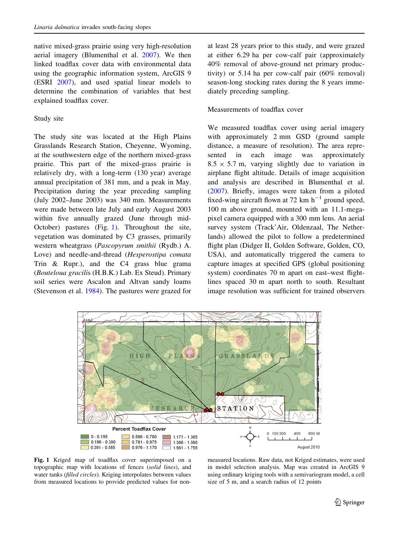<span id="page-2-0"></span>native mixed-grass prairie using very high-resolution aerial imagery (Blumenthal et al. [2007\)](#page-8-0). We then linked toadflax cover data with environmental data using the geographic information system, ArcGIS 9 (ESRI [2007](#page-8-0)), and used spatial linear models to determine the combination of variables that best explained toadflax cover.

## Study site

The study site was located at the High Plains Grasslands Research Station, Cheyenne, Wyoming, at the southwestern edge of the northern mixed-grass prairie. This part of the mixed-grass prairie is relatively dry, with a long-term (130 year) average annual precipitation of 381 mm, and a peak in May. Precipitation during the year preceding sampling (July 2002–June 2003) was 340 mm. Measurements were made between late July and early August 2003 within five annually grazed (June through mid-October) pastures (Fig. 1). Throughout the site, vegetation was dominated by C3 grasses, primarily western wheatgrass (Pascopyrum smithii (Rydb.) A. Love) and needle-and-thread (Hesperostipa comata Trin & Rupr.), and the C4 grass blue grama (Bouteloua gracilis (H.B.K.) Lab. Ex Steud). Primary soil series were Ascalon and Altvan sandy loams (Stevenson et al. [1984](#page-9-0)). The pastures were grazed for at least 28 years prior to this study, and were grazed at either 6.29 ha per cow-calf pair (approximately 40% removal of above-ground net primary productivity) or 5.14 ha per cow-calf pair (60% removal) season-long stocking rates during the 8 years immediately preceding sampling.

# Measurements of toadflax cover

We measured toadflax cover using aerial imagery with approximately 2 mm GSD (ground sample distance, a measure of resolution). The area represented in each image was approximately  $8.5 \times 5.7$  m, varying slightly due to variation in airplane flight altitude. Details of image acquisition and analysis are described in Blumenthal et al. [\(2007](#page-8-0)). Briefly, images were taken from a piloted fixed-wing aircraft flown at 72 km  $h^{-1}$  ground speed, 100 m above ground, mounted with an 11.1-megapixel camera equipped with a 300 mm lens. An aerial survey system (Track'Air, Oldenzaal, The Netherlands) allowed the pilot to follow a predetermined flight plan (Didger II, Golden Software, Golden, CO, USA), and automatically triggered the camera to capture images at specified GPS (global positioning system) coordinates 70 m apart on east–west flightlines spaced 30 m apart north to south. Resultant image resolution was sufficient for trained observers



Fig. 1 Kriged map of toadflax cover superimposed on a topographic map with locations of fences (solid lines), and water tanks (filled circles). Kriging interpolates between values from measured locations to provide predicted values for non-

measured locations. Raw data, not Kriged estimates, were used in model selection analysis. Map was created in ArcGIS 9 using ordinary kriging tools with a semivariogram model, a cell size of 5 m, and a search radius of 12 points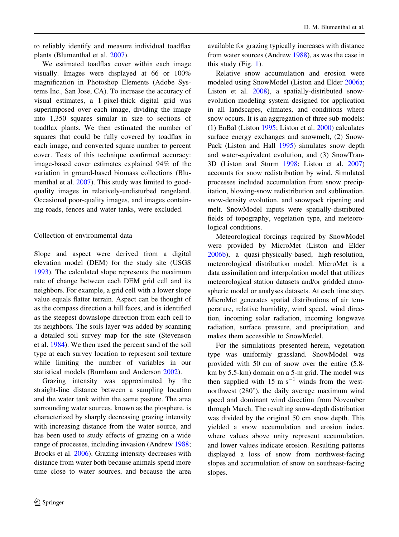to reliably identify and measure individual toadflax plants (Blumenthal et al. [2007](#page-8-0)).

We estimated toadflax cover within each image visually. Images were displayed at 66 or 100% magnification in Photoshop Elements (Adobe Systems Inc., San Jose, CA). To increase the accuracy of visual estimates, a 1-pixel-thick digital grid was superimposed over each image, dividing the image into 1,350 squares similar in size to sections of toadflax plants. We then estimated the number of squares that could be fully covered by toadflax in each image, and converted square number to percent cover. Tests of this technique confirmed accuracy: image-based cover estimates explained 94% of the variation in ground-based biomass collections (Blumenthal et al. [2007\)](#page-8-0). This study was limited to goodquality images in relatively-undisturbed rangeland. Occasional poor-quality images, and images containing roads, fences and water tanks, were excluded.

# Collection of environmental data

Slope and aspect were derived from a digital elevation model (DEM) for the study site (USGS [1993\)](#page-9-0). The calculated slope represents the maximum rate of change between each DEM grid cell and its neighbors. For example, a grid cell with a lower slope value equals flatter terrain. Aspect can be thought of as the compass direction a hill faces, and is identified as the steepest downslope direction from each cell to its neighbors. The soils layer was added by scanning a detailed soil survey map for the site (Stevenson et al. [1984\)](#page-9-0). We then used the percent sand of the soil type at each survey location to represent soil texture while limiting the number of variables in our statistical models (Burnham and Anderson [2002](#page-8-0)).

Grazing intensity was approximated by the straight-line distance between a sampling location and the water tank within the same pasture. The area surrounding water sources, known as the piosphere, is characterized by sharply decreasing grazing intensity with increasing distance from the water source, and has been used to study effects of grazing on a wide range of processes, including invasion (Andrew [1988](#page-8-0); Brooks et al. [2006\)](#page-8-0). Grazing intensity decreases with distance from water both because animals spend more time close to water sources, and because the area

available for grazing typically increases with distance from water sources (Andrew [1988](#page-8-0)), as was the case in this study (Fig. [1](#page-2-0)).

Relative snow accumulation and erosion were modeled using SnowModel (Liston and Elder [2006a](#page-9-0); Liston et al. [2008\)](#page-9-0), a spatially-distributed snowevolution modeling system designed for application in all landscapes, climates, and conditions where snow occurs. It is an aggregation of three sub-models: (1) EnBal (Liston [1995;](#page-9-0) Liston et al. [2000\)](#page-9-0) calculates surface energy exchanges and snowmelt, (2) Snow-Pack (Liston and Hall [1995\)](#page-9-0) simulates snow depth and water-equivalent evolution, and (3) SnowTran-3D (Liston and Sturm [1998](#page-9-0); Liston et al. [2007\)](#page-9-0) accounts for snow redistribution by wind. Simulated processes included accumulation from snow precipitation, blowing-snow redistribution and sublimation, snow-density evolution, and snowpack ripening and melt. SnowModel inputs were spatially-distributed fields of topography, vegetation type, and meteorological conditions.

Meteorological forcings required by SnowModel were provided by MicroMet (Liston and Elder [2006b\)](#page-9-0), a quasi-physically-based, high-resolution, meteorological distribution model. MicroMet is a data assimilation and interpolation model that utilizes meteorological station datasets and/or gridded atmospheric model or analyses datasets. At each time step, MicroMet generates spatial distributions of air temperature, relative humidity, wind speed, wind direction, incoming solar radiation, incoming longwave radiation, surface pressure, and precipitation, and makes them accessible to SnowModel.

For the simulations presented herein, vegetation type was uniformly grassland. SnowModel was provided with 50 cm of snow over the entire (5.8 km by 5.5-km) domain on a 5-m grid. The model was then supplied with 15 m  $s^{-1}$  winds from the westnorthwest  $(280^{\circ})$ , the daily average maximum wind speed and dominant wind direction from November through March. The resulting snow-depth distribution was divided by the original 50 cm snow depth. This yielded a snow accumulation and erosion index, where values above unity represent accumulation, and lower values indicate erosion. Resulting patterns displayed a loss of snow from northwest-facing slopes and accumulation of snow on southeast-facing slopes.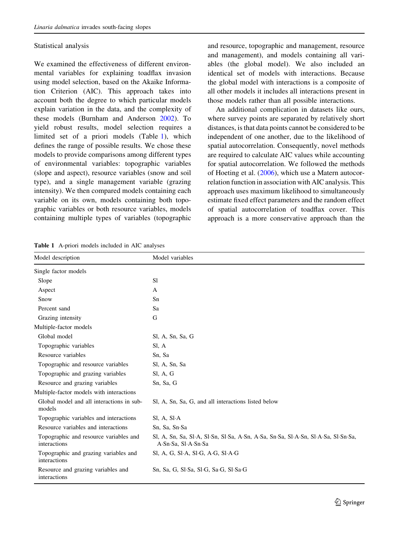# Statistical analysis

We examined the effectiveness of different environmental variables for explaining toadflax invasion using model selection, based on the Akaike Information Criterion (AIC). This approach takes into account both the degree to which particular models explain variation in the data, and the complexity of these models (Burnham and Anderson [2002](#page-8-0)). To yield robust results, model selection requires a limited set of a priori models (Table 1), which defines the range of possible results. We chose these models to provide comparisons among different types of environmental variables: topographic variables (slope and aspect), resource variables (snow and soil type), and a single management variable (grazing intensity). We then compared models containing each variable on its own, models containing both topographic variables or both resource variables, models containing multiple types of variables (topographic and resource, topographic and management, resource and management), and models containing all variables (the global model). We also included an identical set of models with interactions. Because the global model with interactions is a composite of all other models it includes all interactions present in those models rather than all possible interactions.

An additional complication in datasets like ours, where survey points are separated by relatively short distances, is that data points cannot be considered to be independent of one another, due to the likelihood of spatial autocorrelation. Consequently, novel methods are required to calculate AIC values while accounting for spatial autocorrelation. We followed the methods of Hoeting et al. ([2006\)](#page-8-0), which use a Matern autocorrelation function in association with AIC analysis. This approach uses maximum likelihood to simultaneously estimate fixed effect parameters and the random effect of spatial autocorrelation of toadflax cover. This approach is a more conservative approach than the

Table 1 A-priori models included in AIC analyses

| Model description                                      | Model variables                                                                                          |  |  |  |
|--------------------------------------------------------|----------------------------------------------------------------------------------------------------------|--|--|--|
| Single factor models                                   |                                                                                                          |  |  |  |
| Slope                                                  | S1                                                                                                       |  |  |  |
| Aspect                                                 | A                                                                                                        |  |  |  |
| Snow                                                   | Sn                                                                                                       |  |  |  |
| Percent sand                                           | Sa                                                                                                       |  |  |  |
| Grazing intensity                                      | G                                                                                                        |  |  |  |
| Multiple-factor models                                 |                                                                                                          |  |  |  |
| Global model                                           | Sl. A. Sn. Sa. G                                                                                         |  |  |  |
| Topographic variables                                  | Sl, A                                                                                                    |  |  |  |
| Resource variables                                     | Sn, Sa                                                                                                   |  |  |  |
| Topographic and resource variables                     | Sl, A, Sn, Sa                                                                                            |  |  |  |
| Topographic and grazing variables                      | Sl, A, G                                                                                                 |  |  |  |
| Resource and grazing variables                         | Sn, Sa, G                                                                                                |  |  |  |
| Multiple-factor models with interactions               |                                                                                                          |  |  |  |
| Global model and all interactions in sub-<br>models    | Sl, A, Sn, Sa, G, and all interactions listed below                                                      |  |  |  |
| Topographic variables and interactions                 | SI, A, SI·A                                                                                              |  |  |  |
| Resource variables and interactions                    | Sn, Sa, Sn Sa                                                                                            |  |  |  |
| Topographic and resource variables and<br>interactions | Sl, A, Sn, Sa, Sl A, Sl Sn, Sl Sa, A Sn, A Sa, Sn Sa, Sl A Sn, Sl A Sa, Sl Sn Sa,<br>A.Sn.Sa, Sl.A.Sn.Sa |  |  |  |
| Topographic and grazing variables and<br>interactions  | $SI, A, G, SI-A, SI-G, A-G, SI A-G$                                                                      |  |  |  |
| Resource and grazing variables and<br>interactions     | Sn, Sa, G, Sl Sa, Sl G, Sa G, Sl Sa G                                                                    |  |  |  |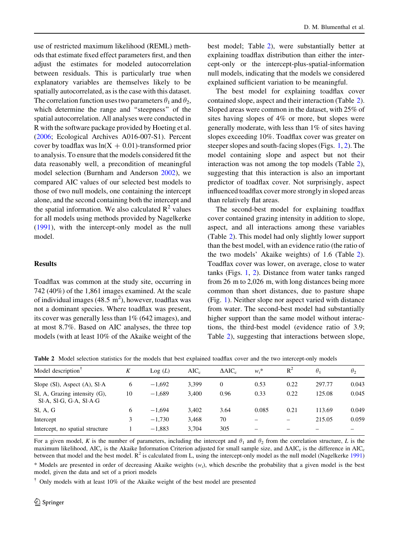<span id="page-5-0"></span>use of restricted maximum likelihood (REML) methods that estimate fixed effect parameters first, and then adjust the estimates for modeled autocorrelation between residuals. This is particularly true when explanatory variables are themselves likely to be spatially autocorrelated, as is the case with this dataset. The correlation function uses two parameters  $\theta_1$  and  $\theta_2$ , which determine the range and ''steepness'' of the spatial autocorrelation. All analyses were conducted in R with the software package provided by Hoeting et al. [\(2006](#page-8-0); Ecological Archives A016-007-S1). Percent cover by toadflax was  $ln(X + 0.01)$ -transformed prior to analysis. To ensure that the models considered fit the data reasonably well, a precondition of meaningful model selection (Burnham and Anderson [2002\)](#page-8-0), we compared AIC values of our selected best models to those of two null models, one containing the intercept alone, and the second containing both the intercept and the spatial information. We also calculated  $\mathbb{R}^2$  values for all models using methods provided by Nagelkerke [\(1991](#page-9-0)), with the intercept-only model as the null model.

# Results

Toadflax was common at the study site, occurring in 742 (40%) of the 1,861 images examined. At the scale of individual images (48.5  $m<sup>2</sup>$ ), however, toadflax was not a dominant species. Where toadflax was present, its cover was generally less than 1% (642 images), and at most 8.7%. Based on AIC analyses, the three top models (with at least 10% of the Akaike weight of the best model; Table 2), were substantially better at explaining toadflax distribution than either the intercept-only or the intercept-plus-spatial-information null models, indicating that the models we considered explained sufficient variation to be meaningful.

The best model for explaining toadflax cover contained slope, aspect and their interaction (Table 2). Sloped areas were common in the dataset, with 25% of sites having slopes of 4% or more, but slopes were generally moderate, with less than 1% of sites having slopes exceeding 10%. Toadflax cover was greater on steeper slopes and south-facing slopes (Figs. [1,](#page-2-0) [2](#page-6-0)). The model containing slope and aspect but not their interaction was not among the top models (Table 2), suggesting that this interaction is also an important predictor of toadflax cover. Not surprisingly, aspect influenced toadflax cover more strongly in sloped areas than relatively flat areas.

The second-best model for explaining toadflax cover contained grazing intensity in addition to slope, aspect, and all interactions among these variables (Table 2). This model had only slightly lower support than the best model, with an evidence ratio (the ratio of the two models' Akaike weights) of 1.6 (Table 2). Toadflax cover was lower, on average, close to water tanks (Figs. [1,](#page-2-0) [2\)](#page-6-0). Distance from water tanks ranged from 26 m to 2,026 m, with long distances being more common than short distances, due to pasture shape (Fig. [1](#page-2-0)). Neither slope nor aspect varied with distance from water. The second-best model had substantially higher support than the same model without interactions, the third-best model (evidence ratio of 3.9; Table 2), suggesting that interactions between slope,

Table 2 Model selection statistics for the models that best explained toadflax cover and the two intercept-only models

| Model description $T$                                      | K  | Log(L)   | $AIC_c$ | $\Delta AIC_c$ | $W_i^*$ | $R^2$ | $\theta_1$ | $\theta_2$ |
|------------------------------------------------------------|----|----------|---------|----------------|---------|-------|------------|------------|
| Slope $(Sl)$ , Aspect $(A)$ , Sl $\cdot$ A                 | 6  | $-1.692$ | 3.399   | $\theta$       | 0.53    | 0.22  | 297.77     | 0.043      |
| Sl, A, Grazing intensity (G),<br>$SI-A, SI-G, G-A, SI-A-G$ | 10 | $-1.689$ | 3.400   | 0.96           | 0.33    | 0.22  | 125.08     | 0.045      |
| SI, A, G                                                   | 6  | $-1.694$ | 3.402   | 3.64           | 0.085   | 0.21  | 113.69     | 0.049      |
| Intercept                                                  | 3  | $-1,730$ | 3.468   | 70             | -       | -     | 215.05     | 0.059      |
| Intercept, no spatial structure                            |    | $-1.883$ | 3.704   | 305            | -       |       |            |            |

For a given model, K is the number of parameters, including the intercept and  $\theta_1$  and  $\theta_2$  from the correlation structure, L is the maximum likelihood, AIC<sub>c</sub> is the Akaike Information Criterion adjusted for small sample size, and  $\Delta AIC_c$  is the difference in AIC<sub>c</sub> between that model and the best model.  $R^2$  is calculated from L, using the intercept-only model as the null model (Nagelkerke [1991](#page-9-0)) \* Models are presented in order of decreasing Akaike weights  $(w_i)$ , which describe the probability that a given model is the best model, given the data and set of a priori models

- Only models with at least 10% of the Akaike weight of the best model are presented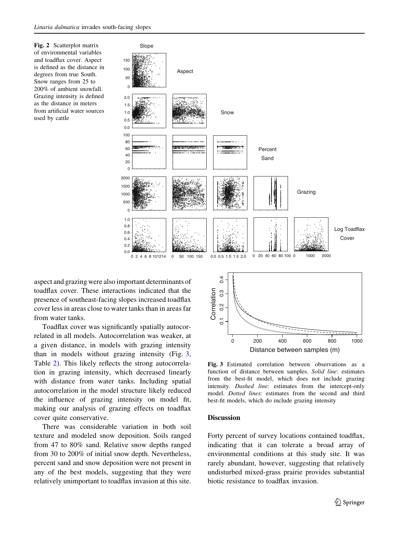<span id="page-6-0"></span>Fig. 2 Scatterplot matrix of environmental variables and toadflax cover. Aspect is defined as the distance in degrees from true South. Snow ranges from 25 to 200% of ambient snowfall. Grazing intensity is defined as the distance in meters from artificial water sources used by cattle



aspect and grazing were also important determinants of toadflax cover. These interactions indicated that the presence of southeast-facing slopes increased toadflax cover less in areas close to water tanks than in areas far from water tanks.

Toadflax cover was significantly spatially autocorrelated in all models. Autocorrelation was weaker, at a given distance, in models with grazing intensity than in models without grazing intensity (Fig. 3, Table [2\)](#page-5-0). This likely reflects the strong autocorrelation in grazing intensity, which decreased linearly with distance from water tanks. Including spatial autocorrelation in the model structure likely reduced the influence of grazing intensity on model fit, making our analysis of grazing effects on toadflax cover quite conservative.

There was considerable variation in both soil texture and modeled snow deposition. Soils ranged from 47 to 80% sand. Relative snow depths ranged from 30 to 200% of initial snow depth. Nevertheless, percent sand and snow deposition were not present in any of the best models, suggesting that they were relatively unimportant to toadflax invasion at this site.



Fig. 3 Estimated correlation between observations as a function of distance between samples. Solid line: estimates from the best-fit model, which does not include grazing intensity. Dashed line: estimates from the intercept-only model. Dotted lines: estimates from the second and third best-fit models, which do include grazing intensity

## **Discussion**

Forty percent of survey locations contained toadflax, indicating that it can tolerate a broad array of environmental conditions at this study site. It was rarely abundant, however, suggesting that relatively undisturbed mixed-grass prairie provides substantial biotic resistance to toadflax invasion.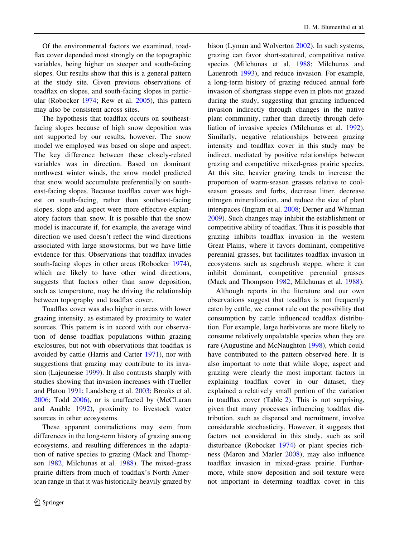Of the environmental factors we examined, toadflax cover depended most strongly on the topographic variables, being higher on steeper and south-facing slopes. Our results show that this is a general pattern at the study site. Given previous observations of toadflax on slopes, and south-facing slopes in particular (Robocker [1974](#page-9-0); Rew et al. [2005](#page-9-0)), this pattern may also be consistent across sites.

The hypothesis that toadflax occurs on southeastfacing slopes because of high snow deposition was not supported by our results, however. The snow model we employed was based on slope and aspect. The key difference between these closely-related variables was in direction. Based on dominant northwest winter winds, the snow model predicted that snow would accumulate preferentially on southeast-facing slopes. Because toadflax cover was highest on south-facing, rather than southeast-facing slopes, slope and aspect were more effective explanatory factors than snow. It is possible that the snow model is inaccurate if, for example, the average wind direction we used doesn't reflect the wind directions associated with large snowstorms, but we have little evidence for this. Observations that toadflax invades south-facing slopes in other areas (Robocker [1974](#page-9-0)), which are likely to have other wind directions, suggests that factors other than snow deposition, such as temperature, may be driving the relationship between topography and toadflax cover.

Toadflax cover was also higher in areas with lower grazing intensity, as estimated by proximity to water sources. This pattern is in accord with our observation of dense toadflax populations within grazing exclosures, but not with observations that toadflax is avoided by cattle (Harris and Carter [1971](#page-8-0)), nor with suggestions that grazing may contribute to its invasion (Lajeunesse [1999\)](#page-8-0). It also contrasts sharply with studies showing that invasion increases with (Tueller and Platou [1991](#page-9-0); Landsberg et al. [2003](#page-8-0); Brooks et al. [2006;](#page-8-0) Todd [2006\)](#page-9-0), or is unaffected by (McCLaran and Anable [1992\)](#page-9-0), proximity to livestock water sources in other ecosystems.

These apparent contradictions may stem from differences in the long-term history of grazing among ecosystems, and resulting differences in the adaptation of native species to grazing (Mack and Thompson [1982,](#page-9-0) Milchunas et al. [1988](#page-9-0)). The mixed-grass prairie differs from much of toadflax's North American range in that it was historically heavily grazed by bison (Lyman and Wolverton [2002\)](#page-9-0). In such systems, grazing can favor short-statured, competitive native species (Milchunas et al. [1988;](#page-9-0) Milchunas and Lauenroth [1993](#page-9-0)), and reduce invasion. For example, a long-term history of grazing reduced annual forb invasion of shortgrass steppe even in plots not grazed during the study, suggesting that grazing influenced invasion indirectly through changes in the native plant community, rather than directly through defoliation of invasive species (Milchunas et al. [1992](#page-9-0)). Similarly, negative relationships between grazing intensity and toadflax cover in this study may be indirect, mediated by positive relationships between grazing and competitive mixed-grass prairie species. At this site, heavier grazing tends to increase the proportion of warm-season grasses relative to coolseason grasses and forbs, decrease litter, decrease nitrogen mineralization, and reduce the size of plant interspaces (Ingram et al. [2008;](#page-8-0) Derner and Whitman [2009\)](#page-8-0). Such changes may inhibit the establishment or competitive ability of toadflax. Thus it is possible that grazing inhibits toadflax invasion in the western Great Plains, where it favors dominant, competitive perennial grasses, but facilitates toadflax invasion in ecosystems such as sagebrush steppe, where it can inhibit dominant, competitive perennial grasses (Mack and Thompson [1982](#page-9-0); Milchunas et al. [1988](#page-9-0)).

Although reports in the literature and our own observations suggest that toadflax is not frequently eaten by cattle, we cannot rule out the possibility that consumption by cattle influenced toadflax distribution. For example, large herbivores are more likely to consume relatively unpalatable species when they are rare (Augustine and McNaughton [1998\)](#page-8-0), which could have contributed to the pattern observed here. It is also important to note that while slope, aspect and grazing were clearly the most important factors in explaining toadflax cover in our dataset, they explained a relatively small portion of the variation in toadflax cover (Table [2\)](#page-5-0). This is not surprising, given that many processes influencing toadflax distribution, such as dispersal and recruitment, involve considerable stochasticity. However, it suggests that factors not considered in this study, such as soil disturbance (Robocker [1974](#page-9-0)) or plant species richness (Maron and Marler [2008](#page-9-0)), may also influence toadflax invasion in mixed-grass prairie. Furthermore, while snow deposition and soil texture were not important in determing toadflax cover in this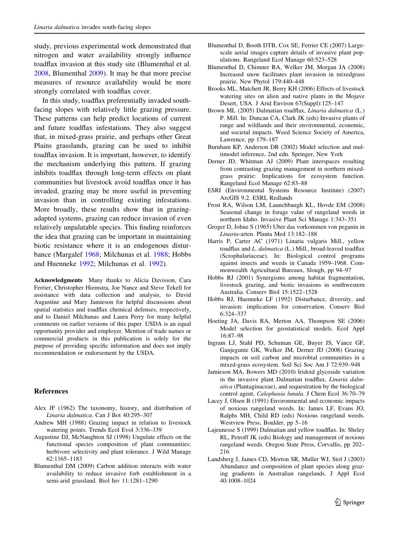<span id="page-8-0"></span>study, previous experimental work demonstrated that nitrogen and water availability strongly influence toadflax invasion at this study site (Blumenthal et al. 2008, Blumenthal 2009). It may be that more precise measures of resource availability would be more strongly correlated with toadflax cover.

In this study, toadflax preferentially invaded southfacing slopes with relatively little grazing pressure. These patterns can help predict locations of current and future toadflax infestations. They also suggest that, in mixed-grass prairie, and perhaps other Great Plains grasslands, grazing can be used to inhibit toadflax invasion. It is important, however, to identify the mechanism underlying this pattern. If grazing inhibits toadflax through long-term effects on plant communities but livestock avoid toadflax once it has invaded, grazing may be more useful in preventing invasion than in controlling existing infestations. More broadly, these results show that in grazingadapted systems, grazing can reduce invasion of even relatively unpalatable species. This finding reinforces the idea that grazing can be important in maintaining biotic resistance where it is an endogenous disturbance (Margalef [1968](#page-9-0); Milchunas et al. [1988](#page-9-0); Hobbs and Huenneke 1992; Milchunas et al. [1992\)](#page-9-0).

Acknowledgments Many thanks to Alicia Davisson, Cara Ferrier, Christopher Hiemstra, Joe Nance and Steve Tekell for assistance with data collection and analysis, to David Augustine and Mary Jamieson for helpful discussions about spatial statistics and toadflax chemical defenses, respectively, and to Daniel Milchunas and Laura Perry for many helpful comments on earlier versions of this paper. USDA is an equal opportunity provider and employer. Mention of trade names or commercial products in this publication is solely for the purpose of providing specific information and does not imply recommendation or endorsement by the USDA.

#### References

- Alex JF (1962) The taxonomy, history, and distribution of Linaria dalmatica. Can J Bot 40:295–307
- Andrew MH (1988) Grazing impact in relation to livestock watering points. Trends Ecol Evol 3:336–339
- Augustine DJ, McNaughton SJ (1998) Ungulate effects on the functional species composition of plant communities: herbivore selectivity and plant tolerance. J Wild Manage 62:1165–1183
- Blumenthal DM (2009) Carbon addition interacts with water availability to reduce invasive forb establishment in a semi-arid grassland. Biol Inv 11:1281–1290
- Blumenthal D, Booth DTB, Cox SE, Ferrier CE (2007) Largescale aerial images capture details of invasive plant populations. Rangeland Ecol Manage 60:523–528
- Blumenthal D, Chimner RA, Welker JM, Morgan JA (2008) Increased snow facilitates plant invasion in mixedgrass prairie. New Phytol 179:440–448
- Brooks ML, Matchett JR, Berry KH (2006) Effects of livestock watering sites on alien and native plants in the Mojave Desert, USA. J Arid Environ 67(Suppl):125–147
- Brown ML (2005) Dalmatian toadflax, Linaria dalmatica (L.) P. Mill. In: Duncan CA, Clark JK (eds) Invasive plants of range and wildlands and their environmental, economic, and societal impacts. Weed Science Society of America, Lawrence, pp 179–187
- Burnham KP, Anderson DR (2002) Model selection and multimodel inference, 2nd edn. Springer, New York
- Derner JD, Whitman AJ (2009) Plant interspaces resulting from contrasting grazing management in northern mixedgrass prairie: Implications for ecosystem function. Rangeland Ecol Manage 62:83–88
- ESRI (Environmental Systems Resource Institute) (2007) ArcGIS 9.2. ESRI, Redlands
- Frost RA, Wilson LM, Launchbaugh KL, Hovde EM (2008) Seasonal change in forage value of rangeland weeds in northern Idaho. Invasive Plant Sci Manage 1:343–351
- Groger D, Johne S (1965) Uber das vorkommen von peganin in Linaria-arten. Planta Med 13:182–188
- Harris P, Carter AC (1971) Linaria vulgaris Mill., yellow toadflax and L. dalmatica (L.) Mill., broad-leaved toadflax (Scrophulariaceae). In: Biological control programs against insects and weeds in Canada 1959–1968. Commonwealth Agricultural Bureaux, Slough, pp 94–97
- Hobbs RJ (2001) Synergisms among habitat fragmentation, livestock grazing, and biotic invasions in southwestern Australia. Conserv Biol 15:1522–1528
- Hobbs RJ, Huenneke LF (1992) Disturbance, diversity, and invasion: implications for conservation. Conserv Biol 6:324–337
- Hoeting JA, Davis RA, Merton AA, Thompson SE (2006) Model selection for geostatistical models. Ecol Appl 16:87–98
- Ingram LJ, Stahl PD, Schuman GE, Buyer JS, Vance GF, Ganjegunte GK, Welker JM, Derner JD (2008) Grazing impacts on soil carbon and microbial communities in a mixed-grass ecosystem. Soil Sci Soc Am J 72:939–948
- Jamieson MA, Bowers MD (2010) Iridoid glycoside variation in the invasive plant Dalmatian toadflax, Linaria dalmatica (Plantaginaceae), and sequestration by the biological control agent, Calophasia lunula. J Chem Ecol 36:70–79
- Lacey J, Olsen B (1991) Environmental and economic impacts of noxious rangeland weeds. In: James LF, Evans JO, Ralphs MH, Child RD (eds) Noxious rangeland weeds. Westview Press, Boulder, pp 5–16
- Lajeunesse S (1999) Dalmatian and yellow toadflax. In: Sheley RL, Petroff JK (eds) Biology and management of noxious rangeland weeds. Oregon State Press, Corvallis, pp 202– 216
- Landsberg J, James CD, Morton SR, Muller WJ, Stol J (2003) Abundance and composition of plant species along grazing gradients in Australian rangelands. J Appl Ecol 40:1008–1024